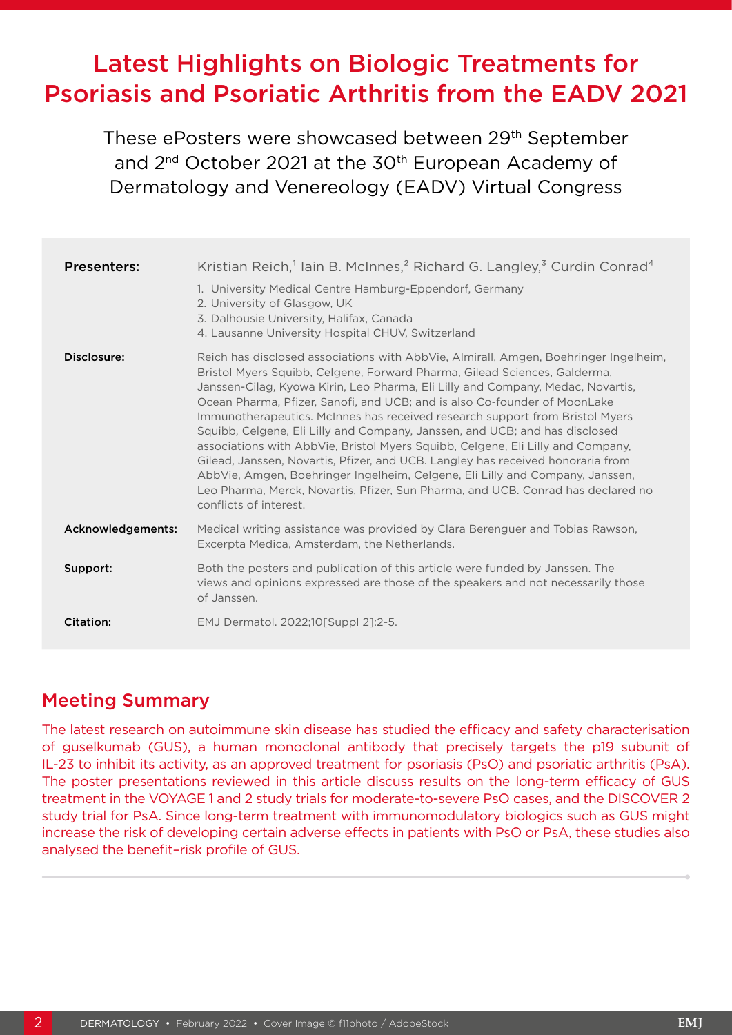# Latest Highlights on Biologic Treatments for Psoriasis and Psoriatic Arthritis from the EADV 2021

These ePosters were showcased between 29th September and 2<sup>nd</sup> October 2021 at the 30<sup>th</sup> European Academy of Dermatology and Venereology (EADV) Virtual Congress

| <b>Presenters:</b> | Kristian Reich, <sup>1</sup> lain B. McInnes, <sup>2</sup> Richard G. Langley, <sup>3</sup> Curdin Conrad <sup>4</sup><br>1. University Medical Centre Hamburg-Eppendorf, Germany<br>2. University of Glasgow, UK<br>3. Dalhousie University, Halifax, Canada                                                                                                                                                                                                                                                                                                                                                                                                                                                                                                                                                                                                                                                              |
|--------------------|----------------------------------------------------------------------------------------------------------------------------------------------------------------------------------------------------------------------------------------------------------------------------------------------------------------------------------------------------------------------------------------------------------------------------------------------------------------------------------------------------------------------------------------------------------------------------------------------------------------------------------------------------------------------------------------------------------------------------------------------------------------------------------------------------------------------------------------------------------------------------------------------------------------------------|
| Disclosure:        | 4. Lausanne University Hospital CHUV, Switzerland<br>Reich has disclosed associations with AbbVie, Almirall, Amgen, Boehringer Ingelheim,<br>Bristol Myers Squibb, Celgene, Forward Pharma, Gilead Sciences, Galderma,<br>Janssen-Cilag, Kyowa Kirin, Leo Pharma, Eli Lilly and Company, Medac, Novartis,<br>Ocean Pharma, Pfizer, Sanofi, and UCB; and is also Co-founder of MoonLake<br>Immunotherapeutics. McInnes has received research support from Bristol Myers<br>Squibb, Celgene, Eli Lilly and Company, Janssen, and UCB; and has disclosed<br>associations with AbbVie, Bristol Myers Squibb, Celgene, Eli Lilly and Company,<br>Gilead, Janssen, Novartis, Pfizer, and UCB. Langley has received honoraria from<br>AbbVie, Amgen, Boehringer Ingelheim, Celgene, Eli Lilly and Company, Janssen,<br>Leo Pharma, Merck, Novartis, Pfizer, Sun Pharma, and UCB. Conrad has declared no<br>conflicts of interest. |
| Acknowledgements:  | Medical writing assistance was provided by Clara Berenguer and Tobias Rawson,<br>Excerpta Medica, Amsterdam, the Netherlands.                                                                                                                                                                                                                                                                                                                                                                                                                                                                                                                                                                                                                                                                                                                                                                                              |
| Support:           | Both the posters and publication of this article were funded by Janssen. The<br>views and opinions expressed are those of the speakers and not necessarily those<br>of Janssen.                                                                                                                                                                                                                                                                                                                                                                                                                                                                                                                                                                                                                                                                                                                                            |
| Citation:          | EMJ Dermatol. 2022;10 [Suppl 2]:2-5.                                                                                                                                                                                                                                                                                                                                                                                                                                                                                                                                                                                                                                                                                                                                                                                                                                                                                       |

#### Meeting Summary

The latest research on autoimmune skin disease has studied the efficacy and safety characterisation of guselkumab (GUS), a human monoclonal antibody that precisely targets the p19 subunit of IL-23 to inhibit its activity, as an approved treatment for psoriasis (PsO) and psoriatic arthritis (PsA). The poster presentations reviewed in this article discuss results on the long-term efficacy of GUS treatment in the VOYAGE 1 and 2 study trials for moderate-to-severe PsO cases, and the DISCOVER 2 study trial for PsA. Since long-term treatment with immunomodulatory biologics such as GUS might increase the risk of developing certain adverse effects in patients with PsO or PsA, these studies also analysed the benefit–risk profile of GUS.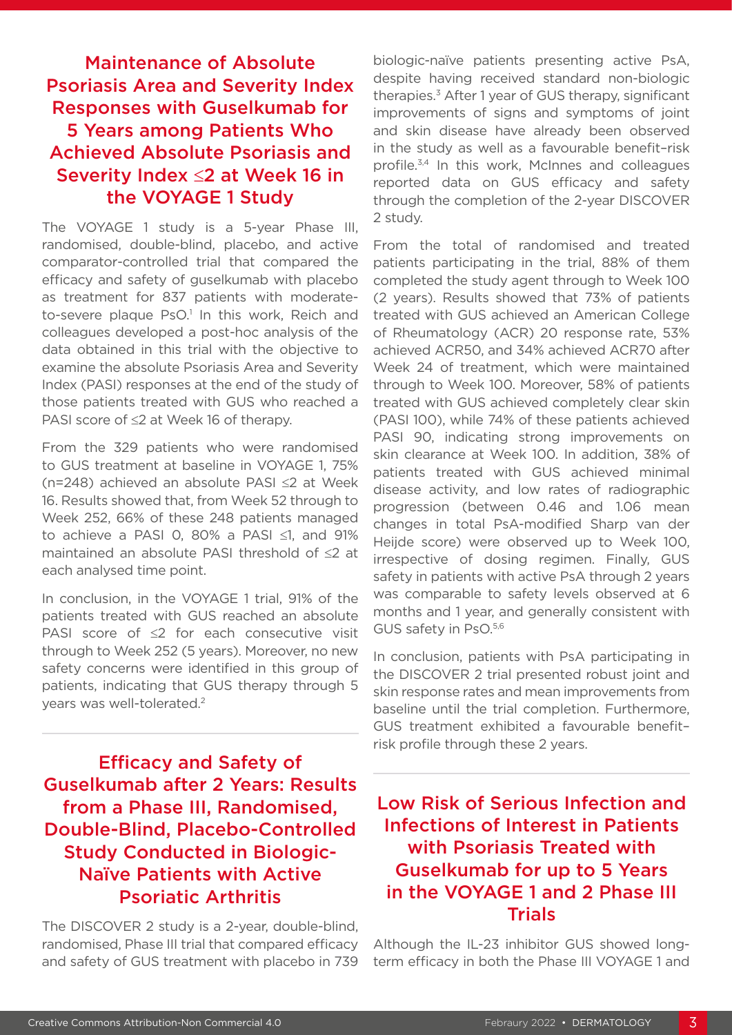### Maintenance of Absolute Psoriasis Area and Severity Index Responses with Guselkumab for 5 Years among Patients Who Achieved Absolute Psoriasis and Severity Index ≤2 at Week 16 in the VOYAGE 1 Study

The VOYAGE 1 study is a 5-year Phase III, randomised, double-blind, placebo, and active comparator-controlled trial that compared the efficacy and safety of guselkumab with placebo as treatment for 837 patients with moderateto-severe plaque PsO.<sup>1</sup> In this work, Reich and colleagues developed a post-hoc analysis of the data obtained in this trial with the objective to examine the absolute Psoriasis Area and Severity Index (PASI) responses at the end of the study of those patients treated with GUS who reached a PASI score of ≤2 at Week 16 of therapy.

From the 329 patients who were randomised to GUS treatment at baseline in VOYAGE 1, 75% (n=248) achieved an absolute PASI ≤2 at Week 16. Results showed that, from Week 52 through to Week 252, 66% of these 248 patients managed to achieve a PASI 0, 80% a PASI ≤1, and 91% maintained an absolute PASI threshold of ≤2 at each analysed time point.

In conclusion, in the VOYAGE 1 trial, 91% of the patients treated with GUS reached an absolute PASI score of ≤2 for each consecutive visit through to Week 252 (5 years). Moreover, no new safety concerns were identified in this group of patients, indicating that GUS therapy through 5 years was well-tolerated.2

Efficacy and Safety of Guselkumab after 2 Years: Results from a Phase III, Randomised, Double-Blind, Placebo-Controlled Study Conducted in Biologic-Naïve Patients with Active Psoriatic Arthritis

The DISCOVER 2 study is a 2-year, double-blind, randomised, Phase III trial that compared efficacy and safety of GUS treatment with placebo in 739 biologic-naïve patients presenting active PsA, despite having received standard non-biologic therapies.3 After 1 year of GUS therapy, significant improvements of signs and symptoms of joint and skin disease have already been observed in the study as well as a favourable benefit–risk profile.<sup>3,4</sup> In this work, McInnes and colleagues reported data on GUS efficacy and safety through the completion of the 2-year DISCOVER 2 study.

From the total of randomised and treated patients participating in the trial, 88% of them completed the study agent through to Week 100 (2 years). Results showed that 73% of patients treated with GUS achieved an American College of Rheumatology (ACR) 20 response rate, 53% achieved ACR50, and 34% achieved ACR70 after Week 24 of treatment, which were maintained through to Week 100. Moreover, 58% of patients treated with GUS achieved completely clear skin (PASI 100), while 74% of these patients achieved PASI 90, indicating strong improvements on skin clearance at Week 100. In addition, 38% of patients treated with GUS achieved minimal disease activity, and low rates of radiographic progression (between 0.46 and 1.06 mean changes in total PsA-modified Sharp van der Heijde score) were observed up to Week 100, irrespective of dosing regimen. Finally, GUS safety in patients with active PsA through 2 years was comparable to safety levels observed at 6 months and 1 year, and generally consistent with GUS safety in PsO.5,6

In conclusion, patients with PsA participating in the DISCOVER 2 trial presented robust joint and skin response rates and mean improvements from baseline until the trial completion. Furthermore, GUS treatment exhibited a favourable benefit– risk profile through these 2 years.

## Low Risk of Serious Infection and Infections of Interest in Patients with Psoriasis Treated with Guselkumab for up to 5 Years in the VOYAGE 1 and 2 Phase III Trials

Although the IL-23 inhibitor GUS showed longterm efficacy in both the Phase III VOYAGE 1 and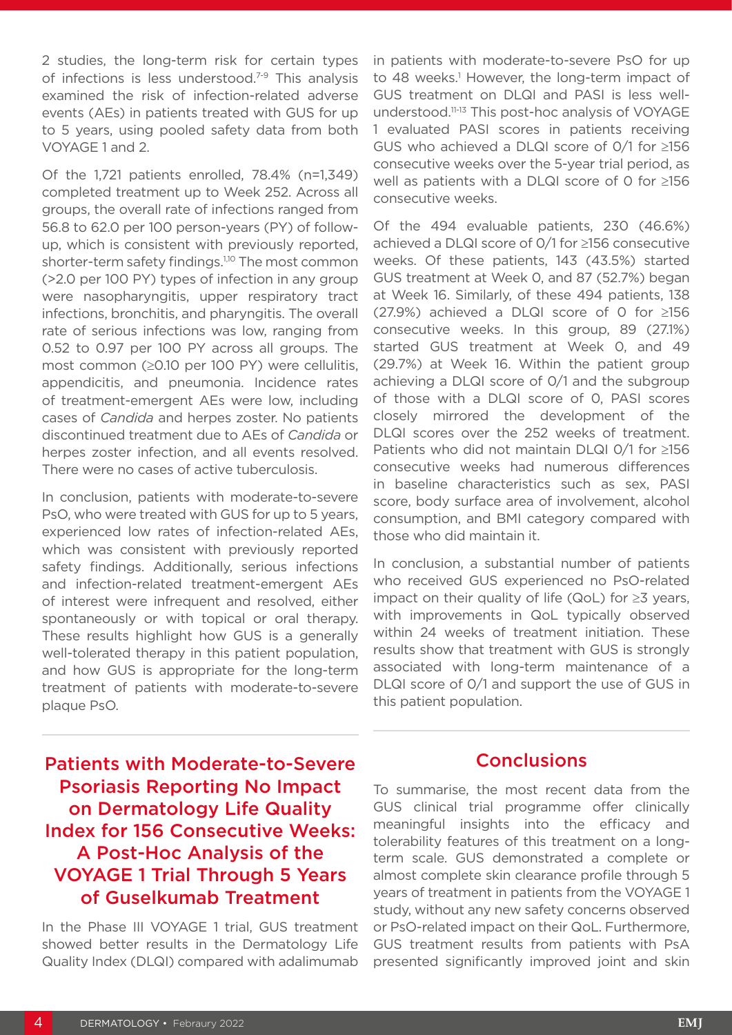2 studies, the long-term risk for certain types of infections is less understood.<sup>7-9</sup> This analysis examined the risk of infection-related adverse events (AEs) in patients treated with GUS for up to 5 years, using pooled safety data from both VOYAGE 1 and 2.

Of the 1,721 patients enrolled, 78.4% (n=1,349) completed treatment up to Week 252. Across all groups, the overall rate of infections ranged from 56.8 to 62.0 per 100 person-years (PY) of followup, which is consistent with previously reported, shorter-term safety findings.<sup>1,10</sup> The most common (>2.0 per 100 PY) types of infection in any group were nasopharyngitis, upper respiratory tract infections, bronchitis, and pharyngitis. The overall rate of serious infections was low, ranging from 0.52 to 0.97 per 100 PY across all groups. The most common (≥0.10 per 100 PY) were cellulitis, appendicitis, and pneumonia. Incidence rates of treatment-emergent AEs were low, including cases of *Candida* and herpes zoster. No patients discontinued treatment due to AEs of *Candida* or herpes zoster infection, and all events resolved. There were no cases of active tuberculosis.

In conclusion, patients with moderate-to-severe PsO, who were treated with GUS for up to 5 years, experienced low rates of infection-related AEs, which was consistent with previously reported safety findings. Additionally, serious infections and infection-related treatment-emergent AEs of interest were infrequent and resolved, either spontaneously or with topical or oral therapy. These results highlight how GUS is a generally well-tolerated therapy in this patient population, and how GUS is appropriate for the long-term treatment of patients with moderate-to-severe plaque PsO.

in patients with moderate-to-severe PsO for up to 48 weeks.<sup>1</sup> However, the long-term impact of GUS treatment on DLQI and PASI is less wellunderstood.11-13 This post-hoc analysis of VOYAGE 1 evaluated PASI scores in patients receiving GUS who achieved a DLQI score of 0/1 for ≥156 consecutive weeks over the 5-year trial period, as well as patients with a DLQI score of 0 for ≥156 consecutive weeks.

Of the 494 evaluable patients, 230 (46.6%) achieved a DLQI score of 0/1 for ≥156 consecutive weeks. Of these patients, 143 (43.5%) started GUS treatment at Week 0, and 87 (52.7%) began at Week 16. Similarly, of these 494 patients, 138 (27.9%) achieved a DLQI score of 0 for ≥156 consecutive weeks. In this group, 89 (27.1%) started GUS treatment at Week 0, and 49 (29.7%) at Week 16. Within the patient group achieving a DLQI score of 0/1 and the subgroup of those with a DLQI score of 0, PASI scores closely mirrored the development of the DLQI scores over the 252 weeks of treatment. Patients who did not maintain DLQI 0/1 for ≥156 consecutive weeks had numerous differences in baseline characteristics such as sex, PASI score, body surface area of involvement, alcohol consumption, and BMI category compared with those who did maintain it.

In conclusion, a substantial number of patients who received GUS experienced no PsO-related impact on their quality of life (QoL) for ≥3 years, with improvements in QoL typically observed within 24 weeks of treatment initiation. These results show that treatment with GUS is strongly associated with long-term maintenance of a DLQI score of 0/1 and support the use of GUS in this patient population.

Patients with Moderate-to-Severe Psoriasis Reporting No Impact on Dermatology Life Quality Index for 156 Consecutive Weeks: A Post-Hoc Analysis of the VOYAGE 1 Trial Through 5 Years of Guselkumab Treatment

In the Phase III VOYAGE 1 trial, GUS treatment showed better results in the Dermatology Life Quality Index (DLQI) compared with adalimumab

#### **Conclusions**

To summarise, the most recent data from the GUS clinical trial programme offer clinically meaningful insights into the efficacy and tolerability features of this treatment on a longterm scale. GUS demonstrated a complete or almost complete skin clearance profile through 5 years of treatment in patients from the VOYAGE 1 study, without any new safety concerns observed or PsO-related impact on their QoL. Furthermore, GUS treatment results from patients with PsA presented significantly improved joint and skin